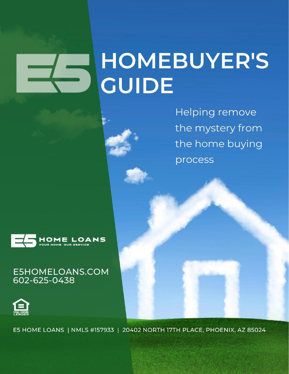# **HOMEBUYER'S GUIDE**

**Helping remove** the mystery from the home buying process



## E5HOMELOANS.COM<br>602-625-0438



E5 HOME LOANS | NMLS #157933 | 20402 NORTH 17TH PLACE, PHOENIX, AZ 85024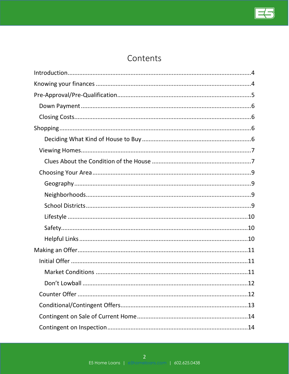

## Contents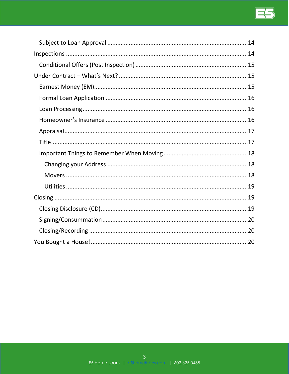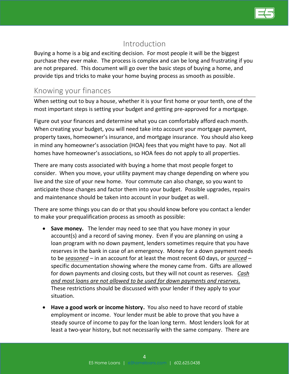

## Introduction

<span id="page-3-0"></span>Buying a home is a big and exciting decision. For most people it will be the biggest purchase they ever make. The process is complex and can be long and frustrating if you are not prepared. This document will go over the basic steps of buying a home, and provide tips and tricks to make your home buying process as smooth as possible.

## <span id="page-3-1"></span>Knowing your finances

When setting out to buy a house, whether it is your first home or your tenth, one of the most important steps is setting your budget and getting pre-approved for a mortgage.

Figure out your finances and determine what you can comfortably afford each month. When creating your budget, you will need take into account your mortgage payment, property taxes, homeowner's insurance, and mortgage insurance. You should also keep in mind any homeowner's association (HOA) fees that you might have to pay. Not all homes have homeowner's associations, so HOA fees do not apply to all properties.

There are many costs associated with buying a home that most people forget to consider. When you move, your utility payment may change depending on where you live and the size of your new home. Your commute can also change, so you want to anticipate those changes and factor them into your budget. Possible upgrades, repairs and maintenance should be taken into account in your budget as well.

There are some things you can do or that you should know before you contact a lender to make your prequalification process as smooth as possible:

- **Save money.** The lender may need to see that you have money in your account(s) and a record of saving money. Even if you are planning on using a loan program with no down payment, lenders sometimes require that you have reserves in the bank in case of an emergency. Money for a down payment needs to be *seasoned* – in an account for at least the most recent 60 days, or *sourced* – specific documentation showing where the money came from. Gifts are allowed for down payments and closing costs, but they will not count as reserves. *Cash and most loans are not allowed to be used for down payments and reserves.* These restrictions should be discussed with your lender if they apply to your situation.
- **Have a good work or income history.** You also need to have record of stable employment or income. Your lender must be able to prove that you have a steady source of income to pay for the loan long term. Most lenders look for at least a two-year history, but not necessarily with the same company. There are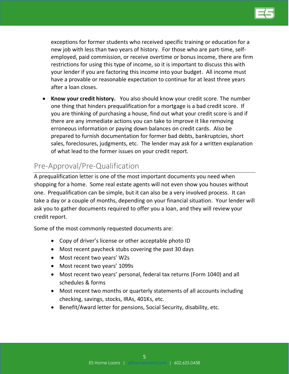

exceptions for former students who received specific training or education for a new job with less than two years of history. For those who are part-time, selfemployed, paid commission, or receive overtime or bonus income, there are firm restrictions for using this type of income, so it is important to discuss this with your lender if you are factoring this income into your budget. All income must have a provable or reasonable expectation to continue for at least three years after a loan closes.

• **Know your credit history.** You also should know your credit score. The number one thing that hinders prequalification for a mortgage is a bad credit score. If you are thinking of purchasing a house, find out what your credit score is and if there are any immediate actions you can take to improve it like removing erroneous information or paying down balances on credit cards. Also be prepared to furnish documentation for former bad debts, bankruptcies, short sales, foreclosures, judgments, etc. The lender may ask for a written explanation of what lead to the former issues on your credit report.

## <span id="page-4-0"></span>Pre-Approval/Pre-Qualification

A prequalification letter is one of the most important documents you need when shopping for a home. Some real estate agents will not even show you houses without one. Prequalification can be simple, but it can also be a very involved process. It can take a day or a couple of months, depending on your financial situation. Your lender will ask you to gather documents required to offer you a loan, and they will review your credit report.

Some of the most commonly requested documents are:

- Copy of driver's license or other acceptable photo ID
- Most recent paycheck stubs covering the past 30 days
- Most recent two years' W2s
- Most recent two years' 1099s
- Most recent two years' personal, federal tax returns (Form 1040) and all schedules & forms
- Most recent two months or quarterly statements of all accounts including checking, savings, stocks, IRAs, 401Ks, etc.
- Benefit/Award letter for pensions, Social Security, disability, etc.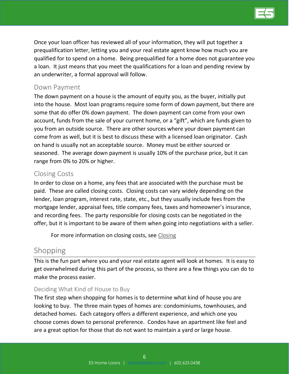

Once your loan officer has reviewed all of your information, they will put together a prequalification letter, letting you and your real estate agent know how much you are qualified for to spend on a home. Being prequalified for a home does not guarantee you a loan. It just means that you meet the qualifications for a loan and pending review by an underwriter, a formal approval will follow.

#### <span id="page-5-0"></span>Down Payment

The down payment on a house is the amount of equity you, as the buyer, initially put into the house. Most loan programs require some form of down payment, but there are some that do offer 0% down payment. The down payment can come from your own account, funds from the sale of your current home, or a "gift", which are funds given to you from an outside source. There are other sources where your down payment can come from as well, but it is best to discuss these with a licensed loan originator. Cash on hand is usually not an acceptable source. Money must be either sourced or seasoned. The average down payment is usually 10% of the purchase price, but it can range from 0% to 20% or higher.

#### <span id="page-5-1"></span>Closing Costs

In order to close on a home, any fees that are associated with the purchase must be paid. These are called closing costs. Closing costs can vary widely depending on the lender, loan program, interest rate, state, etc., but they usually include fees from the mortgage lender, appraisal fees, title company fees, taxes and homeowner's insurance, and recording fees. The party responsible for closing costs can be negotiated in the offer, but it is important to be aware of them when going into negotiations with a seller.

For more information on closing costs, see [Closing](#page-18-1)

## <span id="page-5-2"></span>Shopping

This is the fun part where you and your real estate agent will look at homes. It is easy to get overwhelmed during this part of the process, so there are a few things you can do to make the process easier.

#### <span id="page-5-3"></span>Deciding What Kind of House to Buy

The first step when shopping for homes is to determine what kind of house you are looking to buy. The three main types of homes are: condominiums, townhouses, and detached homes. Each category offers a different experience, and which one you choose comes down to personal preference. Condos have an apartment like feel and are a great option for those that do not want to maintain a yard or large house.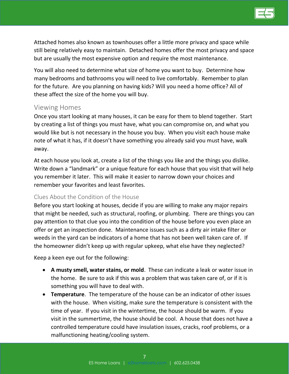

Attached homes also known as townhouses offer a little more privacy and space while still being relatively easy to maintain. Detached homes offer the most privacy and space but are usually the most expensive option and require the most maintenance.

You will also need to determine what size of home you want to buy. Determine how many bedrooms and bathrooms you will need to live comfortably. Remember to plan for the future. Are you planning on having kids? Will you need a home office? All of these affect the size of the home you will buy.

#### <span id="page-6-0"></span>Viewing Homes

Once you start looking at many houses, it can be easy for them to blend together. Start by creating a list of things you must have, what you can compromise on, and what you would like but is not necessary in the house you buy. When you visit each house make note of what it has, if it doesn't have something you already said you must have, walk away.

At each house you look at, create a list of the things you like and the things you dislike. Write down a "landmark" or a unique feature for each house that you visit that will help you remember it later. This will make it easier to narrow down your choices and remember your favorites and least favorites.

#### <span id="page-6-1"></span>Clues About the Condition of the House

Before you start looking at houses, decide if you are willing to make any major repairs that might be needed, such as structural, roofing, or plumbing. There are things you can pay attention to that clue you into the condition of the house before you even place an offer or get an inspection done. Maintenance issues such as a dirty air intake filter or weeds in the yard can be indicators of a home that has not been well taken care of. If the homeowner didn't keep up with regular upkeep, what else have they neglected?

Keep a keen eye out for the following:

- **A musty smell, water stains, or mold**. These can indicate a leak or water issue in the home. Be sure to ask if this was a problem that was taken care of, or if it is something you will have to deal with.
- **Temperature**. The temperature of the house can be an indicator of other issues with the house. When visiting, make sure the temperature is consistent with the time of year. If you visit in the wintertime, the house should be warm. If you visit in the summertime, the house should be cool. A house that does not have a controlled temperature could have insulation issues, cracks, roof problems, or a malfunctioning heating/cooling system.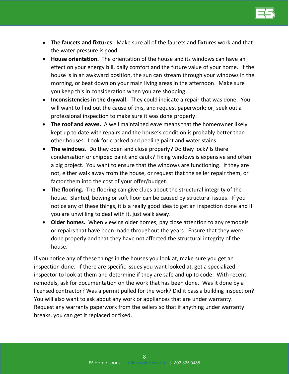

- **The faucets and fixtures.** Make sure all of the faucets and fixtures work and that the water pressure is good.
- **House orientation.** The orientation of the house and its windows can have an effect on your energy bill, daily comfort and the future value of your home. If the house is in an awkward position, the sun can stream through your windows in the morning, or beat down on your main living areas in the afternoon. Make sure you keep this in consideration when you are shopping.
- **Inconsistencies in the drywall.** They could indicate a repair that was done. You will want to find out the cause of this, and request paperwork; or, seek out a professional inspection to make sure it was done properly.
- **The roof and eaves.** A well maintained eave means that the homeowner likely kept up to date with repairs and the house's condition is probably better than other houses. Look for cracked and peeling paint and water stains.
- **The windows.** Do they open and close properly? Do they lock? Is there condensation or chipped paint and caulk? Fixing windows is expensive and often a big project. You want to ensure that the windows are functioning. If they are not, either walk away from the house, or request that the seller repair them, or factor them into the cost of your offer/budget.
- **The flooring.** The flooring can give clues about the structural integrity of the house. Slanted, bowing or soft floor can be caused by structural issues. If you notice any of these things, it is a really good idea to get an inspection done and if you are unwilling to deal with it, just walk away.
- **Older homes.** When viewing older homes, pay close attention to any remodels or repairs that have been made throughout the years. Ensure that they were done properly and that they have not affected the structural integrity of the house.

If you notice any of these things in the houses you look at, make sure you get an inspection done. If there are specific issues you want looked at, get a specialized inspector to look at them and determine if they are safe and up to code. With recent remodels, ask for documentation on the work that has been done. Was it done by a licensed contractor? Was a permit pulled for the work? Did it pass a building inspection? You will also want to ask about any work or appliances that are under warranty. Request any warranty paperwork from the sellers so that if anything under warranty breaks, you can get it replaced or fixed.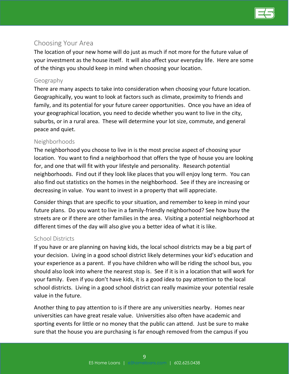

#### <span id="page-8-0"></span>Choosing Your Area

The location of your new home will do just as much if not more for the future value of your investment as the house itself. It will also affect your everyday life. Here are some of the things you should keep in mind when choosing your location.

#### <span id="page-8-1"></span>Geography

There are many aspects to take into consideration when choosing your future location. Geographically, you want to look at factors such as climate, proximity to friends and family, and its potential for your future career opportunities. Once you have an idea of your geographical location, you need to decide whether you want to live in the city, suburbs, or in a rural area. These will determine your lot size, commute, and general peace and quiet.

#### <span id="page-8-2"></span>Neighborhoods

The neighborhood you choose to live in is the most precise aspect of choosing your location. You want to find a neighborhood that offers the type of house you are looking for, and one that will fit with your lifestyle and personality. Research potential neighborhoods. Find out if they look like places that you will enjoy long term. You can also find out statistics on the homes in the neighborhood. See if they are increasing or decreasing in value. You want to invest in a property that will appreciate.

Consider things that are specific to your situation, and remember to keep in mind your future plans. Do you want to live in a family-friendly neighborhood? See how busy the streets are or if there are other families in the area. Visiting a potential neighborhood at different times of the day will also give you a better idea of what it is like.

#### <span id="page-8-3"></span>School Districts

If you have or are planning on having kids, the local school districts may be a big part of your decision. Living in a good school district likely determines your kid's education and your experience as a parent. If you have children who will be riding the school bus, you should also look into where the nearest stop is. See if it is in a location that will work for your family. Even if you don't have kids, it is a good idea to pay attention to the local school districts. Living in a good school district can really maximize your potential resale value in the future.

Another thing to pay attention to is if there are any universities nearby. Homes near universities can have great resale value. Universities also often have academic and sporting events for little or no money that the public can attend. Just be sure to make sure that the house you are purchasing is far enough removed from the campus if you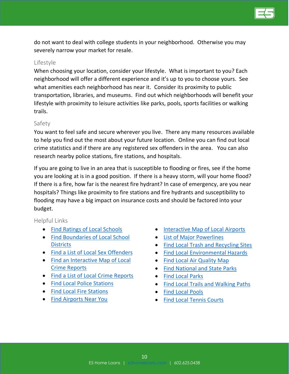

do not want to deal with college students in your neighborhood. Otherwise you may severely narrow your market for resale.

#### <span id="page-9-0"></span>Lifestyle

When choosing your location, consider your lifestyle. What is important to you? Each neighborhood will offer a different experience and it's up to you to choose yours. See what amenities each neighborhood has near it. Consider its proximity to public transportation, libraries, and museums. Find out which neighborhoods will benefit your lifestyle with proximity to leisure activities like parks, pools, sports facilities or walking trails.

#### <span id="page-9-1"></span>Safety

You want to feel safe and secure wherever you live. There any many resources available to help you find out the most about your future location. Online you can find out local crime statistics and if there are any registered sex offenders in the area. You can also research nearby police stations, fire stations, and hospitals.

If you are going to live in an area that is susceptible to flooding or fires, see if the home you are looking at is in a good position. If there is a heavy storm, will your home flood? If there is a fire, how far is the nearest fire hydrant? In case of emergency, are you near hospitals? Things like proximity to fire stations and fire hydrants and susceptibility to flooding may have a big impact on insurance costs and should be factored into your budget.

#### <span id="page-9-2"></span>Helpful Links

- [Find Ratings of Local Schools](http://www.greatschools.org/)
- Find [Boundaries of Local School](http://www.greatschools.org/school-district-boundaries-map/)  **[Districts](http://www.greatschools.org/school-district-boundaries-map/)**
- [Find a List of Local Sex Offenders](http://www.familywatchdog.us/)
- [Find an Interactive Map of Local](https://www.crimereports.com/)  [Crime Reports](https://www.crimereports.com/)
- [Find a List of Local Crime Reports](http://www.mylocalcrime.com/)
- [Find Local Police Stations](http://www.policeone.com/law-enforcement-directory/)
- [Find Local Fire Stations](http://www.firedepartment.net/nearest-fire-department)
- [Find Airports Near You](http://www.ifly.com/airport-search)
- [Interactive Map of Local Airports](http://www.ifly.com/airport-search)
- [List of Major Powerlines](http://www.eia.gov/state/maps.cfm)
- [Find Local Trash and Recycling Sites](http://site.republicservices.com/corporate/localservices/local-waste-services-refuse-services.aspx)
- [Find Local Environmental Hazards](https://ejscreen.epa.gov/mapper/)
- [Find Local Air Quality Map](https://www.epa.gov/outdoor-air-quality-data/interactive-map-air-quality-monitors)
- [Find National and](http://www.discovertheforest.org/?m=1#map) State Parks
- [Find Local Parks](https://mapofplay.kaboom.org/)
- [Find Local Trails and Walking Paths](http://www.traillink.com/)
- [Find Local Pools](http://www.swimmersguide.com/)
- [Find Local Tennis Courts](https://www.usta.com/)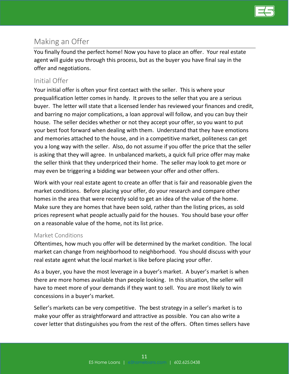

## <span id="page-10-0"></span>Making an Offer

You finally found the perfect home! Now you have to place an offer. Your real estate agent will guide you through this process, but as the buyer you have final say in the offer and negotiations.

## <span id="page-10-1"></span>Initial Offer

Your initial offer is often your first contact with the seller. This is where your prequalification letter comes in handy. It proves to the seller that you are a serious buyer. The letter will state that a licensed lender has reviewed your finances and credit, and barring no major complications, a loan approval will follow, and you can buy their house. The seller decides whether or not they accept your offer, so you want to put your best foot forward when dealing with them. Understand that they have emotions and memories attached to the house, and in a competitive market, politeness can get you a long way with the seller. Also, do not assume if you offer the price that the seller is asking that they will agree. In unbalanced markets, a quick full price offer may make the seller think that they underpriced their home. The seller may look to get more or may even be triggering a bidding war between your offer and other offers.

Work with your real estate agent to create an offer that is fair and reasonable given the market conditions. Before placing your offer, do your research and compare other homes in the area that were recently sold to get an idea of the value of the home. Make sure they are homes that have been sold, rather than the listing prices, as sold prices represent what people actually paid for the houses. You should base your offer on a reasonable value of the home, not its list price.

#### <span id="page-10-2"></span>Market Conditions

Oftentimes, how much you offer will be determined by the market condition. The local market can change from neighborhood to neighborhood. You should discuss with your real estate agent what the local market is like before placing your offer.

As a buyer, you have the most leverage in a buyer's market. A buyer's market is when there are more homes available than people looking. In this situation, the seller will have to meet more of your demands if they want to sell. You are most likely to win concessions in a buyer's market.

Seller's markets can be very competitive. The best strategy in a seller's market is to make your offer as straightforward and attractive as possible. You can also write a cover letter that distinguishes you from the rest of the offers. Often times sellers have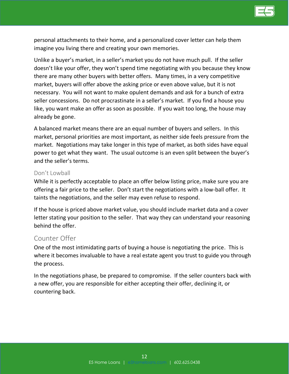

personal attachments to their home, and a personalized cover letter can help them imagine you living there and creating your own memories.

Unlike a buyer's market, in a seller's market you do not have much pull. If the seller doesn't like your offer, they won't spend time negotiating with you because they know there are many other buyers with better offers. Many times, in a very competitive market, buyers will offer above the asking price or even above value, but it is not necessary. You will not want to make opulent demands and ask for a bunch of extra seller concessions. Do not procrastinate in a seller's market. If you find a house you like, you want make an offer as soon as possible. If you wait too long, the house may already be gone.

A balanced market means there are an equal number of buyers and sellers. In this market, personal priorities are most important, as neither side feels pressure from the market. Negotiations may take longer in this type of market, as both sides have equal power to get what they want. The usual outcome is an even split between the buyer's and the seller's terms.

#### <span id="page-11-0"></span>Don't Lowball

While it is perfectly acceptable to place an offer below listing price, make sure you are offering a fair price to the seller. Don't start the negotiations with a low-ball offer. It taints the negotiations, and the seller may even refuse to respond.

If the house is priced above market value, you should include market data and a cover letter stating your position to the seller. That way they can understand your reasoning behind the offer.

#### <span id="page-11-1"></span>Counter Offer

One of the most intimidating parts of buying a house is negotiating the price. This is where it becomes invaluable to have a real estate agent you trust to guide you through the process.

In the negotiations phase, be prepared to compromise. If the seller counters back with a new offer, you are responsible for either accepting their offer, declining it, or countering back.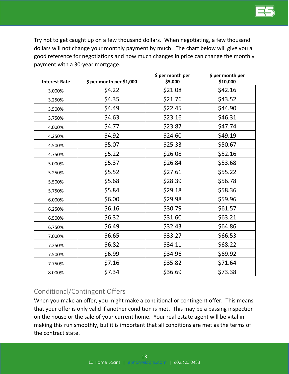Try not to get caught up on a few thousand dollars. When negotiating, a few thousand dollars will not change your monthly payment by much. The chart below will give you a good reference for negotiations and how much changes in price can change the monthly payment with a 30-year mortgage.

| <b>Interest Rate</b> | \$ per month per \$1,000 | \$ per month per<br>\$5,000 | \$ per month per<br>\$10,000 |
|----------------------|--------------------------|-----------------------------|------------------------------|
| 3.000%               | \$4.22                   | \$21.08                     | \$42.16                      |
| 3.250%               | \$4.35                   | \$21.76                     | \$43.52                      |
| 3.500%               | \$4.49                   | \$22.45                     | \$44.90                      |
| 3.750%               | \$4.63                   | \$23.16                     | \$46.31                      |
| 4.000%               | \$4.77                   | \$23.87                     | \$47.74                      |
| 4.250%               | \$4.92                   | \$24.60                     | \$49.19                      |
| 4.500%               | \$5.07                   | \$25.33                     | \$50.67                      |
| 4.750%               | \$5.22                   | \$26.08                     | \$52.16                      |
| 5.000%               | \$5.37                   | \$26.84                     | \$53.68                      |
| 5.250%               | \$5.52                   | \$27.61                     | \$55.22                      |
| 5.500%               | \$5.68                   | \$28.39                     | \$56.78                      |
| 5.750%               | \$5.84                   | \$29.18                     | \$58.36                      |
| 6.000%               | \$6.00                   | \$29.98                     | \$59.96                      |
| 6.250%               | \$6.16                   | \$30.79                     | \$61.57                      |
| 6.500%               | \$6.32                   | \$31.60                     | \$63.21                      |
| 6.750%               | \$6.49                   | \$32.43                     | \$64.86                      |
| 7.000%               | \$6.65                   | \$33.27                     | \$66.53                      |
| 7.250%               | \$6.82                   | \$34.11                     | \$68.22                      |
| 7.500%               | \$6.99                   | \$34.96                     | \$69.92                      |
| 7.750%               | \$7.16                   | \$35.82                     | \$71.64                      |
| 8.000%               | \$7.34                   | \$36.69                     | \$73.38                      |

## <span id="page-12-0"></span>Conditional/Contingent Offers

When you make an offer, you might make a conditional or contingent offer. This means that your offer is only valid if another condition is met. This may be a passing inspection on the house or the sale of your current home. Your real estate agent will be vital in making this run smoothly, but it is important that all conditions are met as the terms of the contract state.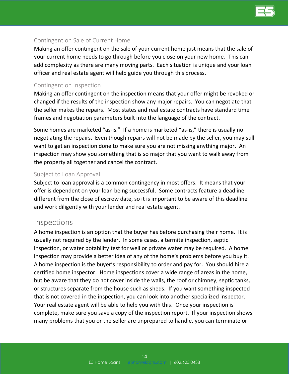

#### <span id="page-13-0"></span>Contingent on Sale of Current Home

Making an offer contingent on the sale of your current home just means that the sale of your current home needs to go through before you close on your new home. This can add complexity as there are many moving parts. Each situation is unique and your loan officer and real estate agent will help guide you through this process.

#### <span id="page-13-1"></span>Contingent on Inspection

Making an offer contingent on the inspection means that your offer might be revoked or changed if the results of the inspection show any major repairs. You can negotiate that the seller makes the repairs. Most states and real estate contracts have standard time frames and negotiation parameters built into the language of the contract.

Some homes are marketed "as-is." If a home is marketed "as-is," there is usually no negotiating the repairs. Even though repairs will not be made by the seller, you may still want to get an inspection done to make sure you are not missing anything major. An inspection may show you something that is so major that you want to walk away from the property all together and cancel the contract.

#### <span id="page-13-2"></span>Subject to Loan Approval

Subject to loan approval is a common contingency in most offers. It means that your offer is dependent on your loan being successful. Some contracts feature a deadline different from the close of escrow date, so it is important to be aware of this deadline and work diligently with your lender and real estate agent.

#### <span id="page-13-3"></span>Inspections

A home inspection is an option that the buyer has before purchasing their home. It is usually not required by the lender. In some cases, a termite inspection, septic inspection, or water potability test for well or private water may be required. A home inspection may provide a better idea of any of the home's problems before you buy it. A home inspection is the buyer's responsibility to order and pay for. You should hire a certified home inspector. Home inspections cover a wide range of areas in the home, but be aware that they do not cover inside the walls, the roof or chimney, septic tanks, or structures separate from the house such as sheds. If you want something inspected that is not covered in the inspection, you can look into another specialized inspector. Your real estate agent will be able to help you with this. Once your inspection is complete, make sure you save a copy of the inspection report. If your inspection shows many problems that you or the seller are unprepared to handle, you can terminate or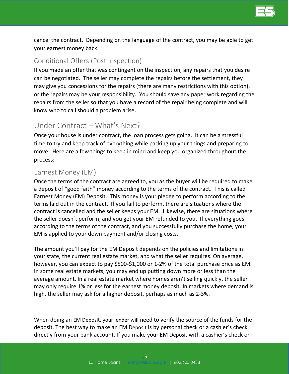

cancel the contract. Depending on the language of the contract, you may be able to get your earnest money back.

#### <span id="page-14-0"></span>Conditional Offers (Post Inspection)

If you made an offer that was contingent on the inspection, any repairs that you desire can be negotiated. The seller may complete the repairs before the settlement, they may give you concessions for the repairs (there are many restrictions with this option), or the repairs may be your responsibility. You should save any paper work regarding the repairs from the seller so that you have a record of the repair being complete and will know who to call should a problem arise.

## <span id="page-14-1"></span>Under Contract – What's Next?

Once your house is under contract, the loan process gets going. It can be a stressful time to try and keep track of everything while packing up your things and preparing to move. Here are a few things to keep in mind and keep you organized throughout the process:

#### <span id="page-14-2"></span>Earnest Money (EM)

Once the terms of the contract are agreed to, you as the buyer will be required to make a deposit of "good faith" money according to the terms of the contract. This is called Earnest Money (EM) Deposit. This money is your pledge to perform according to the terms laid out in the contract. If you fail to perform, there are situations where the contract is cancelled and the seller keeps your EM. Likewise, there are situations where the seller doesn't perform, and you get your EM refunded to you. If everything goes according to the terms of the contract, and you successfully purchase the home, your EM is applied to your down payment and/or closing costs.

The amount you'll pay for the EM Deposit depends on the policies and limitations in your state, the current real estate market, and what the seller requires. On average, however, you can expect to pay \$500-\$1,000 or 1-2% of the total purchase price as EM. In some real estate markets, you may end up putting down more or less than the average amount. In a real estate market where homes aren't selling quickly, the seller may only require 1% or less for the earnest money deposit. In markets where demand is high, the seller may ask for a higher deposit, perhaps as much as 2-3%.

When doing an EM Deposit, your lender will need to verify the source of the funds for the deposit. The best way to make an EM Deposit is by personal check or a cashier's check directly from your bank account. If you make your EM Deposit with a cashier's check or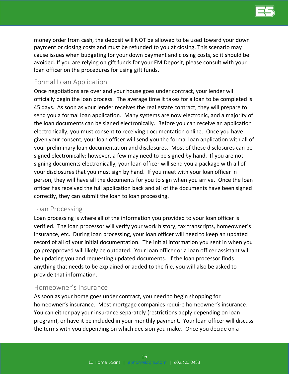

money order from cash, the deposit will NOT be allowed to be used toward your down payment or closing costs and must be refunded to you at closing. This scenario may cause issues when budgeting for your down payment and closing costs, so it should be avoided. If you are relying on gift funds for your EM Deposit, please consult with your loan officer on the procedures for using gift funds.

## <span id="page-15-0"></span>Formal Loan Application

Once negotiations are over and your house goes under contract, your lender will officially begin the loan process. The average time it takes for a loan to be completed is 45 days. As soon as your lender receives the real estate contract, they will prepare to send you a formal loan application. Many systems are now electronic, and a majority of the loan documents can be signed electronically. Before you can receive an application electronically, you must consent to receiving documentation online. Once you have given your consent, your loan officer will send you the formal loan application with all of your preliminary loan documentation and disclosures. Most of these disclosures can be signed electronically; however, a few may need to be signed by hand. If you are not signing documents electronically, your loan officer will send you a package with all of your disclosures that you must sign by hand. If you meet with your loan officer in person, they will have all the documents for you to sign when you arrive. Once the loan officer has received the full application back and all of the documents have been signed correctly, they can submit the loan to loan processing.

#### <span id="page-15-1"></span>Loan Processing

Loan processing is where all of the information you provided to your loan officer is verified. The loan processor will verify your work history, tax transcripts, homeowner's insurance, etc. During loan processing, your loan officer will need to keep an updated record of all of your initial documentation. The initial information you sent in when you go preapproved will likely be outdated. Your loan officer or a loan officer assistant will be updating you and requesting updated documents. If the loan processor finds anything that needs to be explained or added to the file, you will also be asked to provide that information.

#### <span id="page-15-2"></span>Homeowner's Insurance

As soon as your home goes under contract, you need to begin shopping for homeowner's insurance. Most mortgage companies require homeowner's insurance. You can either pay your insurance separately (restrictions apply depending on loan program), or have it be included in your monthly payment. Your loan officer will discuss the terms with you depending on which decision you make. Once you decide on a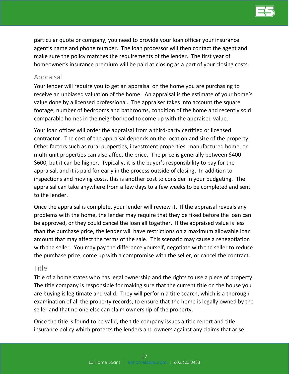

particular quote or company, you need to provide your loan officer your insurance agent's name and phone number. The loan processor will then contact the agent and make sure the policy matches the requirements of the lender. The first year of homeowner's insurance premium will be paid at closing as a part of your closing costs.

#### <span id="page-16-0"></span>Appraisal

Your lender will require you to get an appraisal on the home you are purchasing to receive an unbiased valuation of the home. An appraisal is the estimate of your home's value done by a licensed professional. The appraiser takes into account the square footage, number of bedrooms and bathrooms, condition of the home and recently sold comparable homes in the neighborhood to come up with the appraised value.

Your loan officer will order the appraisal from a third-party certified or licensed contractor. The cost of the appraisal depends on the location and size of the property. Other factors such as rural properties, investment properties, manufactured home, or multi-unit properties can also affect the price. The price is generally between \$400- \$600, but it can be higher. Typically, it is the buyer's responsibility to pay for the appraisal, and it is paid for early in the process outside of closing. In addition to inspections and moving costs, this is another cost to consider in your budgeting. The appraisal can take anywhere from a few days to a few weeks to be completed and sent to the lender.

Once the appraisal is complete, your lender will review it. If the appraisal reveals any problems with the home, the lender may require that they be fixed before the loan can be approved, or they could cancel the loan all together. If the appraised value is less than the purchase price, the lender will have restrictions on a maximum allowable loan amount that may affect the terms of the sale. This scenario may cause a renegotiation with the seller. You may pay the difference yourself, negotiate with the seller to reduce the purchase price, come up with a compromise with the seller, or cancel the contract.

#### <span id="page-16-1"></span>Title

Title of a home states who has legal ownership and the rights to use a piece of property. The title company is responsible for making sure that the current title on the house you are buying is legitimate and valid. They will perform a title search, which is a thorough examination of all the property records, to ensure that the home is legally owned by the seller and that no one else can claim ownership of the property.

Once the title is found to be valid, the title company issues a title report and title insurance policy which protects the lenders and owners against any claims that arise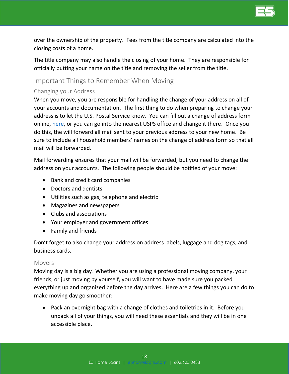

over the ownership of the property. Fees from the title company are calculated into the closing costs of a home.

The title company may also handle the closing of your home. They are responsible for officially putting your name on the title and removing the seller from the title.

#### <span id="page-17-0"></span>Important Things to Remember When Moving

#### <span id="page-17-1"></span>Changing your Address

When you move, you are responsible for handling the change of your address on all of your accounts and documentation. The first thing to do when preparing to change your address is to let the U.S. Postal Service know. You can fill out a change of address form online, [here,](https://moversguide.usps.com/icoa/home/icoa-main-flow.do?execution=e2s1&_flowId=icoa-main-flow) or you can go into the nearest USPS office and change it there. Once you do this, the will forward all mail sent to your previous address to your new home. Be sure to include all household members' names on the change of address form so that all mail will be forwarded.

Mail forwarding ensures that your mail will be forwarded, but you need to change the address on your accounts. The following people should be notified of your move:

- Bank and credit card companies
- Doctors and dentists
- Utilities such as gas, telephone and electric
- Magazines and newspapers
- Clubs and associations
- Your employer and government offices
- Family and friends

Don't forget to also change your address on address labels, luggage and dog tags, and business cards.

#### <span id="page-17-2"></span>Movers

Moving day is a big day! Whether you are using a professional moving company, your friends, or just moving by yourself, you will want to have made sure you packed everything up and organized before the day arrives. Here are a few things you can do to make moving day go smoother:

• Pack an overnight bag with a change of clothes and toiletries in it. Before you unpack all of your things, you will need these essentials and they will be in one accessible place.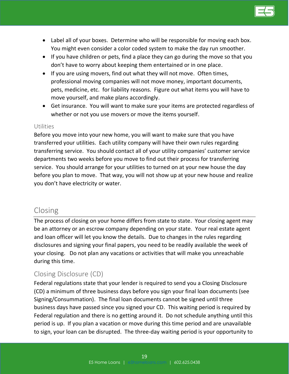

- Label all of your boxes. Determine who will be responsible for moving each box. You might even consider a color coded system to make the day run smoother.
- If you have children or pets, find a place they can go during the move so that you don't have to worry about keeping them entertained or in one place.
- If you are using movers, find out what they will not move. Often times, professional moving companies will not move money, important documents, pets, medicine, etc. for liability reasons. Figure out what items you will have to move yourself, and make plans accordingly.
- Get insurance. You will want to make sure your items are protected regardless of whether or not you use movers or move the items yourself.

#### <span id="page-18-0"></span>Utilities

Before you move into your new home, you will want to make sure that you have transferred your utilities. Each utility company will have their own rules regarding transferring service. You should contact all of your utility companies' customer service departments two weeks before you move to find out their process for transferring service. You should arrange for your utilities to turned on at your new house the day before you plan to move. That way, you will not show up at your new house and realize you don't have electricity or water.

## <span id="page-18-1"></span>Closing

The process of closing on your home differs from state to state. Your closing agent may be an attorney or an escrow company depending on your state. Your real estate agent and loan officer will let you know the details. Due to changes in the rules regarding disclosures and signing your final papers, you need to be readily available the week of your closing. Do not plan any vacations or activities that will make you unreachable during this time.

## <span id="page-18-2"></span>Closing Disclosure (CD)

Federal regulations state that your lender is required to send you a Closing Disclosure (CD) a minimum of three business days before you sign your final loan documents (see Signing/Consummation). The final loan documents cannot be signed until three business days have passed since you signed your CD. This waiting period is required by Federal regulation and there is no getting around it. Do not schedule anything until this period is up. If you plan a vacation or move during this time period and are unavailable to sign, your loan can be disrupted. The three-day waiting period is your opportunity to